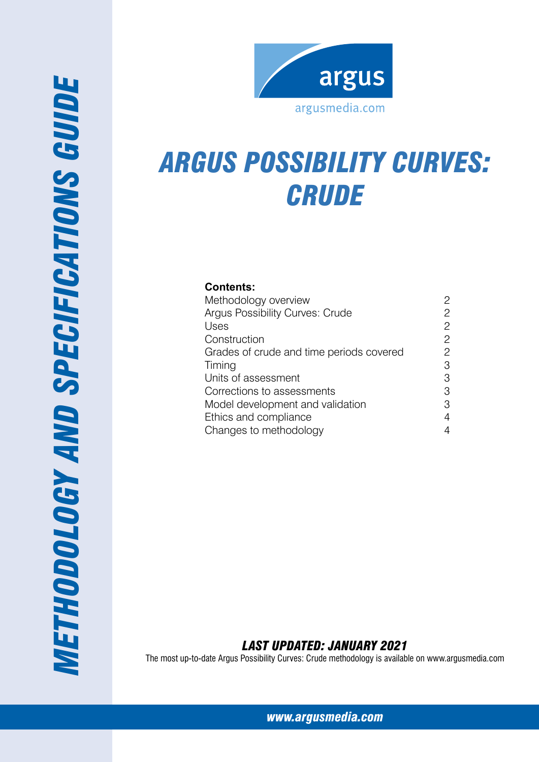

# *Argus possibility curves: Crude*

# **Contents:**

*Methodo*

*logy and specifications g*

**METHODOLOGY AND SPECIFICATIONS GUIDE** 

| Methodology overview                     | 2              |
|------------------------------------------|----------------|
| <b>Argus Possibility Curves: Crude</b>   | 2              |
| Uses                                     | 2              |
| Construction                             | $\overline{c}$ |
| Grades of crude and time periods covered | 2              |
| Timing                                   | 3              |
| Units of assessment                      | 3              |
| Corrections to assessments               | 3              |
| Model development and validation         | 3              |
| Ethics and compliance                    | 4              |
| Changes to methodology                   | 4              |

# *Last Updated: January 2021*

The most up-to-date Argus Possibility Curves: Crude methodology is available on www.argusmedia.com

*[www.argusmedia.com](http://www.argusmediagroup.com)*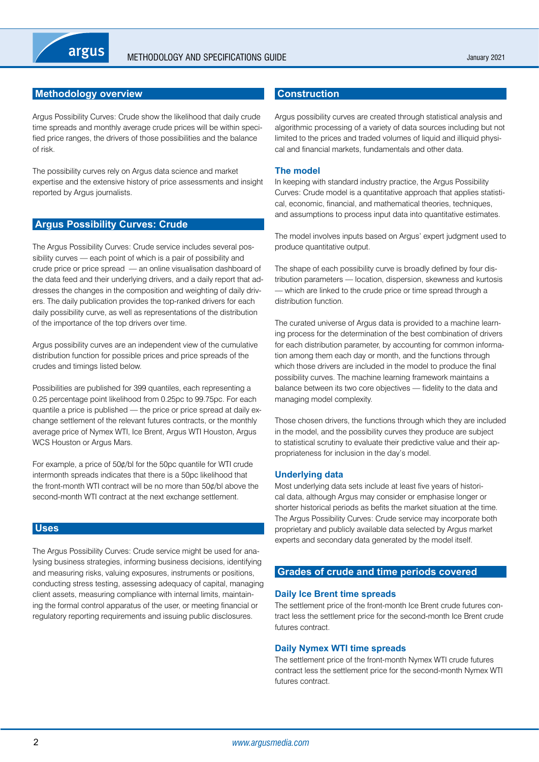# <span id="page-1-0"></span>**Methodology overview**

Argus Possibility Curves: Crude show the likelihood that daily crude time spreads and monthly average crude prices will be within specified price ranges, the drivers of those possibilities and the balance of risk.

The possibility curves rely on Argus data science and market expertise and the extensive history of price assessments and insight reported by Argus journalists.

#### **Argus Possibility Curves: Crude**

The Argus Possibility Curves: Crude service includes several possibility curves — each point of which is a pair of possibility and crude price or price spread — an online visualisation dashboard of the data feed and their underlying drivers, and a daily report that addresses the changes in the composition and weighting of daily drivers. The daily publication provides the top-ranked drivers for each daily possibility curve, as well as representations of the distribution of the importance of the top drivers over time.

Argus possibility curves are an independent view of the cumulative distribution function for possible prices and price spreads of the crudes and timings listed below.

Possibilities are published for 399 quantiles, each representing a 0.25 percentage point likelihood from 0.25pc to 99.75pc. For each quantile a price is published — the price or price spread at daily exchange settlement of the relevant futures contracts, or the monthly average price of Nymex WTI, Ice Brent, Argus WTI Houston, Argus WCS Houston or Argus Mars.

For example, a price of 50¢/bl for the 50pc quantile for WTI crude intermonth spreads indicates that there is a 50pc likelihood that the front-month WTI contract will be no more than 50¢/bl above the second-month WTI contract at the next exchange settlement.

#### **Uses**

The Argus Possibility Curves: Crude service might be used for analysing business strategies, informing business decisions, identifying and measuring risks, valuing exposures, instruments or positions, conducting stress testing, assessing adequacy of capital, managing client assets, measuring compliance with internal limits, maintaining the formal control apparatus of the user, or meeting financial or regulatory reporting requirements and issuing public disclosures.

#### **Construction**

Argus possibility curves are created through statistical analysis and algorithmic processing of a variety of data sources including but not limited to the prices and traded volumes of liquid and illiquid physical and financial markets, fundamentals and other data.

#### **The model**

In keeping with standard industry practice, the Argus Possibility Curves: Crude model is a quantitative approach that applies statistical, economic, financial, and mathematical theories, techniques, and assumptions to process input data into quantitative estimates.

The model involves inputs based on Argus' expert judgment used to produce quantitative output.

The shape of each possibility curve is broadly defined by four distribution parameters — location, dispersion, skewness and kurtosis — which are linked to the crude price or time spread through a distribution function.

The curated universe of Argus data is provided to a machine learning process for the determination of the best combination of drivers for each distribution parameter, by accounting for common information among them each day or month, and the functions through which those drivers are included in the model to produce the final possibility curves. The machine learning framework maintains a balance between its two core objectives — fidelity to the data and managing model complexity.

Those chosen drivers, the functions through which they are included in the model, and the possibility curves they produce are subject to statistical scrutiny to evaluate their predictive value and their appropriateness for inclusion in the day's model.

#### **Underlying data**

Most underlying data sets include at least five years of historical data, although Argus may consider or emphasise longer or shorter historical periods as befits the market situation at the time. The Argus Possibility Curves: Crude service may incorporate both proprietary and publicly available data selected by Argus market experts and secondary data generated by the model itself.

#### **Grades of crude and time periods covered**

#### **Daily Ice Brent time spreads**

The settlement price of the front-month Ice Brent crude futures contract less the settlement price for the second-month Ice Brent crude futures contract.

#### **Daily Nymex WTI time spreads**

The settlement price of the front-month Nymex WTI crude futures contract less the settlement price for the second-month Nymex WTI futures contract.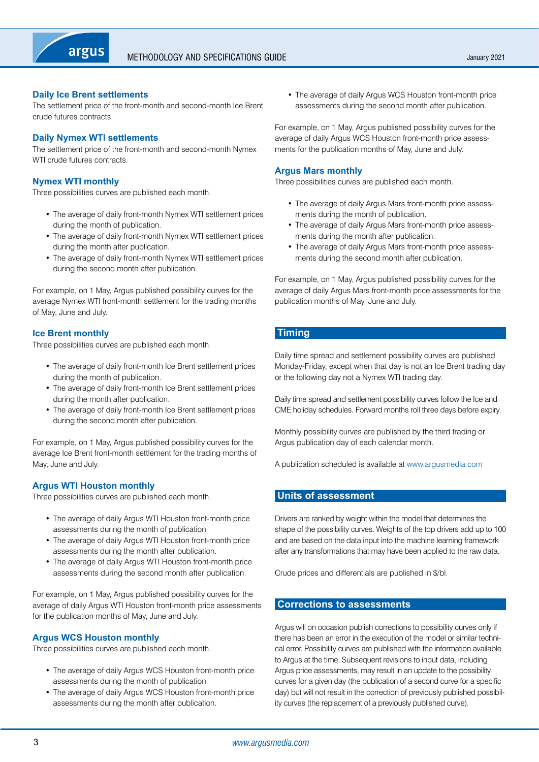<span id="page-2-0"></span>

#### **Daily Ice Brent settlements**

The settlement price of the front-month and second-month Ice Brent crude futures contracts.

#### **Daily Nymex WTI settlements**

The settlement price of the front-month and second-month Nymex WTI crude futures contracts.

#### **Nymex WTI monthly**

Three possibilities curves are published each month.

- The average of daily front-month Nymex WTI settlement prices during the month of publication.
- The average of daily front-month Nymex WTI settlement prices during the month after publication.
- The average of daily front-month Nymex WTI settlement prices during the second month after publication.

For example, on 1 May, Argus published possibility curves for the average Nymex WTI front-month settlement for the trading months of May, June and July.

#### **Ice Brent monthly**

Three possibilities curves are published each month.

- The average of daily front-month Ice Brent settlement prices during the month of publication.
- The average of daily front-month Ice Brent settlement prices during the month after publication.
- The average of daily front-month Ice Brent settlement prices during the second month after publication.

For example, on 1 May, Argus published possibility curves for the average Ice Brent front-month settlement for the trading months of May, June and July.

#### **Argus WTI Houston monthly**

Three possibilities curves are published each month.

- The average of daily Argus WTI Houston front-month price assessments during the month of publication.
- The average of daily Argus WTI Houston front-month price assessments during the month after publication.
- The average of daily Argus WTI Houston front-month price assessments during the second month after publication.

For example, on 1 May, Argus published possibility curves for the average of daily Argus WTI Houston front-month price assessments for the publication months of May, June and July.

#### **Argus WCS Houston monthly**

Three possibilities curves are published each month.

- The average of daily Argus WCS Houston front-month price assessments during the month of publication.
- The average of daily Argus WCS Houston front-month price assessments during the month after publication.

• The average of daily Argus WCS Houston front-month price assessments during the second month after publication.

For example, on 1 May, Argus published possibility curves for the average of daily Argus WCS Houston front-month price assessments for the publication months of May, June and July.

#### **Argus Mars monthly**

Three possibilities curves are published each month.

- The average of daily Argus Mars front-month price assessments during the month of publication.
- The average of daily Argus Mars front-month price assessments during the month after publication.
- The average of daily Argus Mars front-month price assessments during the second month after publication.

For example, on 1 May, Argus published possibility curves for the average of daily Argus Mars front-month price assessments for the publication months of May, June and July.

## **Timing**

Daily time spread and settlement possibility curves are published Monday-Friday, except when that day is not an Ice Brent trading day or the following day not a Nymex WTI trading day.

Daily time spread and settlement possibility curves follow the Ice and CME holiday schedules. Forward months roll three days before expiry.

Monthly possibility curves are published by the third trading or Argus publication day of each calendar month.

A publication scheduled is available at <www.argusmedia.com>

#### **Units of assessment**

Drivers are ranked by weight within the model that determines the shape of the possibility curves. Weights of the top drivers add up to 100 and are based on the data input into the machine learning framework after any transformations that may have been applied to the raw data.

Crude prices and differentials are published in \$/bl.

#### **Corrections to assessments**

Argus will on occasion publish corrections to possibility curves only if there has been an error in the execution of the model or similar technical error. Possibility curves are published with the information available to Argus at the time. Subsequent revisions to input data, including Argus price assessments, may result in an update to the possibility curves for a given day (the publication of a second curve for a specific day) but will not result in the correction of previously published possibility curves (the replacement of a previously published curve).